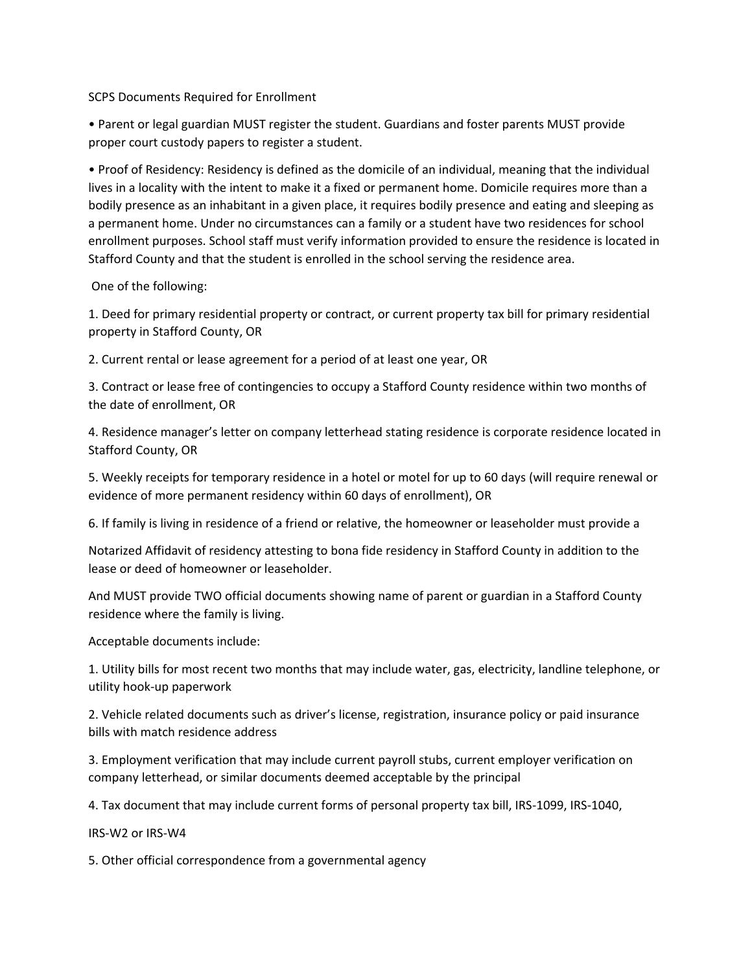SCPS Documents Required for Enrollment

• Parent or legal guardian MUST register the student. Guardians and foster parents MUST provide proper court custody papers to register a student.

• Proof of Residency: Residency is defined as the domicile of an individual, meaning that the individual lives in a locality with the intent to make it a fixed or permanent home. Domicile requires more than a bodily presence as an inhabitant in a given place, it requires bodily presence and eating and sleeping as a permanent home. Under no circumstances can a family or a student have two residences for school enrollment purposes. School staff must verify information provided to ensure the residence is located in Stafford County and that the student is enrolled in the school serving the residence area.

One of the following:

1. Deed for primary residential property or contract, or current property tax bill for primary residential property in Stafford County, OR

2. Current rental or lease agreement for a period of at least one year, OR

3. Contract or lease free of contingencies to occupy a Stafford County residence within two months of the date of enrollment, OR

4. Residence manager's letter on company letterhead stating residence is corporate residence located in Stafford County, OR

5. Weekly receipts for temporary residence in a hotel or motel for up to 60 days (will require renewal or evidence of more permanent residency within 60 days of enrollment), OR

6. If family is living in residence of a friend or relative, the homeowner or leaseholder must provide a

Notarized Affidavit of residency attesting to bona fide residency in Stafford County in addition to the lease or deed of homeowner or leaseholder.

And MUST provide TWO official documents showing name of parent or guardian in a Stafford County residence where the family is living.

Acceptable documents include:

1. Utility bills for most recent two months that may include water, gas, electricity, landline telephone, or utility hook-up paperwork

2. Vehicle related documents such as driver's license, registration, insurance policy or paid insurance bills with match residence address

3. Employment verification that may include current payroll stubs, current employer verification on company letterhead, or similar documents deemed acceptable by the principal

4. Tax document that may include current forms of personal property tax bill, IRS-1099, IRS-1040,

IRS-W2 or IRS-W4

5. Other official correspondence from a governmental agency